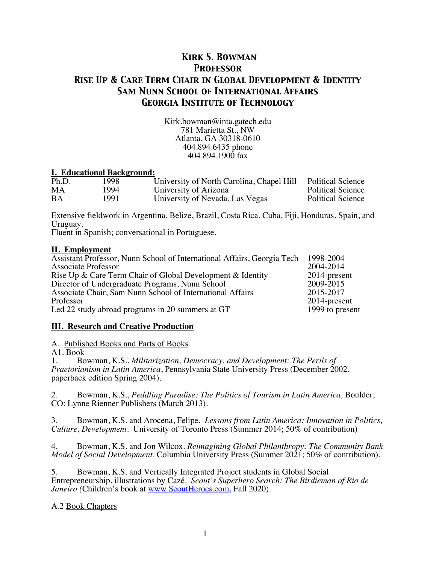# *Kirk S. Bowman Professor Rise Up & Care Term Chair in Global Development & Identity Sam Nunn School of International Affairs Georgia Institute of Technology*

Kirk.bowman@inta.gatech.edu 781 Marietta St., NW Atlanta, GA 30318-0610 404.894.6435 phone 404.894.1900 fax

#### **I. Educational Background:**

| Ph.D. | 998ء  | University of North Carolina, Chapel Hill | <b>Political Science</b> |
|-------|-------|-------------------------------------------|--------------------------|
| МA    | 1994. | University of Arizona                     | <b>Political Science</b> |
| BA    | 1991  | University of Nevada, Las Vegas           | <b>Political Science</b> |

Extensive fieldwork in Argentina, Belize, Brazil, Costa Rica, Cuba, Fiji, Honduras, Spain, and Uruguay.

Fluent in Spanish; conversational in Portuguese.

#### **II. Employment**

| Assistant Professor, Nunn School of International Affairs, Georgia Tech | 1998-2004       |
|-------------------------------------------------------------------------|-----------------|
| <b>Associate Professor</b>                                              | 2004-2014       |
| Rise Up & Care Term Chair of Global Development & Identity              | 2014-present    |
| Director of Undergraduate Programs, Nunn School                         | 2009-2015       |
| Associate Chair, Sam Nunn School of International Affairs               | 2015-2017       |
| Professor                                                               | $2014$ -present |
| Led 22 study abroad programs in 20 summers at GT                        | 1999 to present |

#### **III. Research and Creative Production**

A. Published Books and Parts of Books

A1. Book

1. Bowman, K.S., *Militarization, Democracy, and Development: The Perils of Praetorianism in Latin America*, Pennsylvania State University Press (December 2002, paperback edition Spring 2004).

2. Bowman, K.S., *Peddling Paradise: The Politics of Tourism in Latin America,* Boulder, CO: Lynne Rienner Publishers (March 2013).

3. Bowman, K.S. and Arocena, Felipe. *Lessons from Latin America: Innovation in Politics, Culture, Development*. University of Toronto Press (Summer 2014; 50% of contribution)

4. Bowman, K.S. and Jon Wilcox. *Reimagining Global Philanthropy: The Community Bank Model of Social Development.* Columbia University Press (Summer 2021; 50% of contribution).

5. Bowman, K.S. and Vertically Integrated Project students in Global Social Entrepreneurship, illustrations by Cazé. *Scout's Superhero Search: The Birdieman of Rio de Janeiro* (Children's book at www.ScoutHeroes.com, Fall 2020).

A.2 Book Chapters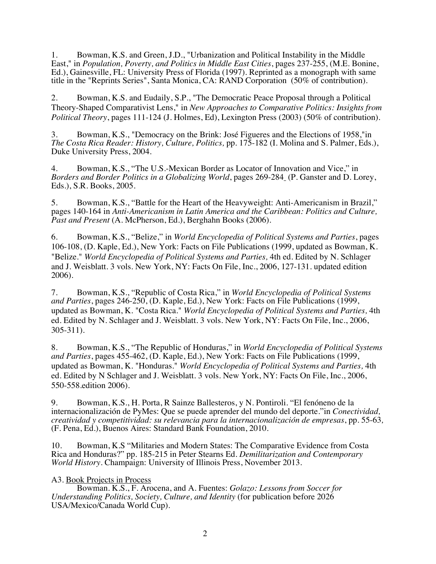1. Bowman, K.S. and Green, J.D., "Urbanization and Political Instability in the Middle East," in *Population, Poverty, and Politics in Middle East Cities*, pages 237-255, (M.E. Bonine, Ed.), Gainesville, FL: University Press of Florida (1997). Reprinted as a monograph with same title in the "Reprints Series", Santa Monica, CA: RAND Corporation (50% of contribution).

2. Bowman, K.S. and Eudaily, S.P., "The Democratic Peace Proposal through a Political Theory-Shaped Comparativist Lens," in *New Approaches to Comparative Politics: Insights from Political Theory*, pages 111-124 (J. Holmes, Ed), Lexington Press (2003) (50% of contribution).

3. Bowman, K.S., "Democracy on the Brink: José Figueres and the Elections of 1958,"in *The Costa Rica Reader: History, Culture, Politics,* pp. 175-182 (I. Molina and S. Palmer, Eds.), Duke University Press, 2004.

4. Bowman, K.S., "The U.S.-Mexican Border as Locator of Innovation and Vice," in *Borders and Border Politics in a Globalizing World*, pages 269-284 (P. Ganster and D. Lorey, Eds.), S.R. Books, 2005.

5. Bowman, K.S., "Battle for the Heart of the Heavyweight: Anti-Americanism in Brazil," pages 140-164 in *Anti-Americanism in Latin America and the Caribbean: Politics and Culture, Past and Present* (A. McPherson, Ed.), Berghahn Books (2006).

6. Bowman, K.S., "Belize," in *World Encyclopedia of Political Systems and Parties*, pages 106-108, (D. Kaple, Ed.), New York: Facts on File Publications (1999, updated as Bowman, K. "Belize." *World Encyclopedia of Political Systems and Parties,* 4th ed. Edited by N. Schlager and J. Weisblatt. 3 vols. New York, NY: Facts On File, Inc., 2006, 127-131. updated edition 2006).

7. Bowman, K.S., "Republic of Costa Rica," in *World Encyclopedia of Political Systems and Parties*, pages 246-250, (D. Kaple, Ed.), New York: Facts on File Publications (1999, updated as Bowman, K. "Costa Rica." *World Encyclopedia of Political Systems and Parties,* 4th ed. Edited by N. Schlager and J. Weisblatt. 3 vols. New York, NY: Facts On File, Inc., 2006, 305-311).

8. Bowman, K.S., "The Republic of Honduras," in *World Encyclopedia of Political Systems and Parties*, pages 455-462, (D. Kaple, Ed.), New York: Facts on File Publications (1999, updated as Bowman, K. "Honduras." *World Encyclopedia of Political Systems and Parties,* 4th ed. Edited by N Schlager and J. Weisblatt. 3 vols. New York, NY: Facts On File, Inc., 2006, 550-558.edition 2006).

9. Bowman, K.S., H. Porta, R Sainze Ballesteros, y N. Pontiroli. "El fenóneno de la internacionalización de PyMes: Que se puede aprender del mundo del deporte."in *Conectividad, creatividad y competitividad: su relevancia para la internacionalización de empresas*, pp. 55-63*,* (F. Pena, Ed.), Buenos Aires: Standard Bank Foundation, 2010.

10. Bowman, K.S "Militaries and Modern States: The Comparative Evidence from Costa Rica and Honduras?" pp. 185-215 in Peter Stearns Ed. *Demilitarization and Contemporary World History*. Champaign: University of Illinois Press, November 2013.

#### A3. Book Projects in Process

Bowman. K.S., F. Arocena, and A. Fuentes: *Golazo: Lessons from Soccer for Understanding Politics, Society, Culture, and Identity* (for publication before 2026 USA/Mexico/Canada World Cup).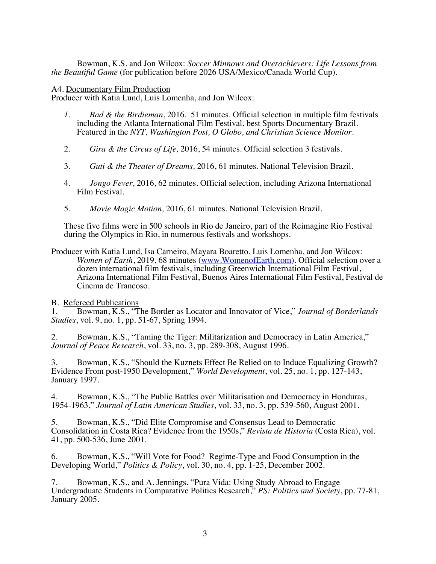Bowman, K.S. and Jon Wilcox: *Soccer Minnows and Overachievers: Life Lessons from the Beautiful Game* (for publication before 2026 USA/Mexico/Canada World Cup).

#### A4. Documentary Film Production

Producer with Katia Lund, Luis Lomenha, and Jon Wilcox:

- *1. Bad & the Birdieman*, 2016. 51 minutes. Official selection in multiple film festivals including the Atlanta International Film Festival, best Sports Documentary Brazil. Featured in the *NYT, Washington Post, O Globo, and Christian Science Monitor.*
- 2. *Gira & the Circus of Life,* 2016, 54 minutes. Official selection 3 festivals.
- 3. *Guti & the Theater of Dreams,* 2016, 61 minutes. National Television Brazil.
- 4. *Jongo Fever,* 2016, 62 minutes. Official selection, including Arizona International Film Festival.
- 5. *Movie Magic Motion,* 2016, 61 minutes. National Television Brazil.

These five films were in 500 schools in Rio de Janeiro, part of the Reimagine Rio Festival during the Olympics in Rio, in numerous festivals and workshops.

Producer with Katia Lund, Isa Carneiro, Mayara Boaretto, Luis Lomenha, and Jon Wilcox: *Women of Earth*, 2019, 68 minutes (www.WomenofEarth.com). Official selection over a dozen international film festivals, including Greenwich International Film Festival, Arizona International Film Festival, Buenos Aires International Film Festival, Festival de Cinema de Trancoso.

B. Refereed Publications

1. Bowman, K.S., "The Border as Locator and Innovator of Vice," *Journal of Borderlands Studies*, vol. 9, no. 1, pp. 51-67, Spring 1994.

2. Bowman, K.S., "Taming the Tiger: Militarization and Democracy in Latin America," *Journal of Peace Research*, vol. 33, no. 3, pp. 289-308, August 1996.

3. Bowman, K.S., "Should the Kuznets Effect Be Relied on to Induce Equalizing Growth? Evidence From post-1950 Development," *World Development*, vol. 25, no. 1, pp. 127-143, January 1997.

4. Bowman, K.S., "The Public Battles over Militarisation and Democracy in Honduras, 1954-1963," *Journal of Latin American Studies*, vol. 33, no. 3, pp. 539-560, August 2001.

5. Bowman, K.S., "Did Elite Compromise and Consensus Lead to Democratic Consolidation in Costa Rica? Evidence from the 1950s," *Revista de Historia* (Costa Rica), vol. 41, pp. 500-536, June 2001.

6. Bowman, K.S., "Will Vote for Food? Regime-Type and Food Consumption in the Developing World," *Politics & Policy*, vol. 30, no. 4, pp. 1-25, December 2002.

7. Bowman, K.S., and A. Jennings. "Pura Vida: Using Study Abroad to Engage Undergraduate Students in Comparative Politics Research," *PS: Politics and Society*, pp. 77-81, January 2005.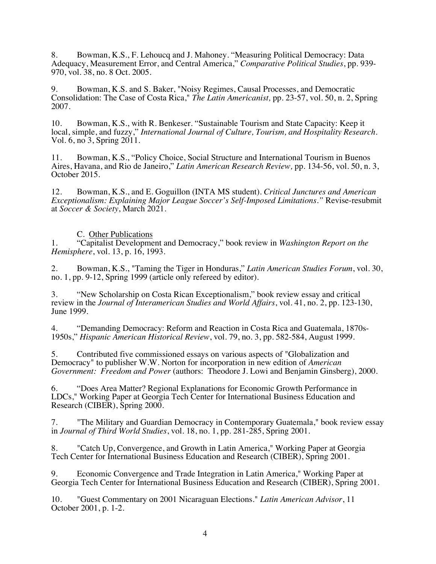8. Bowman, K.S., F. Lehoucq and J. Mahoney. "Measuring Political Democracy: Data Adequacy, Measurement Error, and Central America," *Comparative Political Studies*, pp. 939- 970, vol. 38, no. 8 Oct. 2005.

9. Bowman, K.S. and S. Baker, "Noisy Regimes, Causal Processes, and Democratic Consolidation: The Case of Costa Rica," *The Latin Americanist,* pp. 23-57, vol. 50, n. 2, Spring 2007.

10. Bowman, K.S., with R. Benkeser. "Sustainable Tourism and State Capacity: Keep it local, simple, and fuzzy," *International Journal of Culture, Tourism, and Hospitality Research*. Vol. 6, no 3, Spring 2011.

11. Bowman, K.S., "Policy Choice, Social Structure and International Tourism in Buenos Aires, Havana, and Rio de Janeiro," *Latin American Research Review,* pp. 134-56, vol. 50, n. 3, October 2015.

12. Bowman, K.S., and E. Goguillon (INTA MS student). *Critical Junctures and American Exceptionalism: Explaining Major League Soccer's Self-Imposed Limitations."* Revise-resubmit at *Soccer & Society*, March 2021.

#### C. Other Publications

1. "Capitalist Development and Democracy," book review in *Washington Report on the Hemisphere*, vol. 13, p. 16, 1993.

2. Bowman, K.S., "Taming the Tiger in Honduras," *Latin American Studies Forum*, vol. 30, no. 1, pp. 9-12, Spring 1999 (article only refereed by editor).

3. "New Scholarship on Costa Rican Exceptionalism," book review essay and critical review in the *Journal of Interamerican Studies and World Affairs*, vol. 41, no. 2, pp. 123-130, June 1999.

4. "Demanding Democracy: Reform and Reaction in Costa Rica and Guatemala, 1870s-1950s," *Hispanic American Historical Review*, vol. 79, no. 3, pp. 582-584, August 1999.

5. Contributed five commissioned essays on various aspects of "Globalization and Democracy" to publisher W.W. Norton for incorporation in new edition of *American Government: Freedom and Power* (authors: Theodore J. Lowi and Benjamin Ginsberg), 2000.

6. "Does Area Matter? Regional Explanations for Economic Growth Performance in LDCs," Working Paper at Georgia Tech Center for International Business Education and Research (CIBER), Spring 2000.

7. "The Military and Guardian Democracy in Contemporary Guatemala," book review essay in *Journal of Third World Studies*, vol. 18, no. 1, pp. 281-285, Spring 2001.

8. "Catch Up, Convergence, and Growth in Latin America," Working Paper at Georgia Tech Center for International Business Education and Research (CIBER), Spring 2001.

9. Economic Convergence and Trade Integration in Latin America," Working Paper at Georgia Tech Center for International Business Education and Research (CIBER), Spring 2001.

10. "Guest Commentary on 2001 Nicaraguan Elections." *Latin American Advisor*, 11 October 2001, p. 1-2.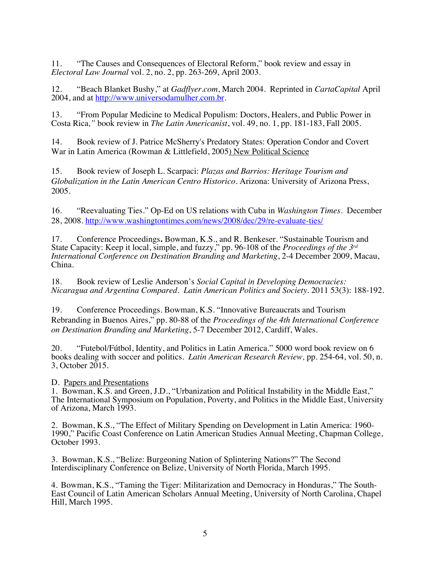11. "The Causes and Consequences of Electoral Reform," book review and essay in *Electoral Law Journal* vol. 2, no. 2, pp. 263-269, April 2003.

12. "Beach Blanket Bushy," at *Gadflyer.com*, March 2004. Reprinted in *CartaCapital* April 2004, and at http://www.universodamulher.com.br.

13. "From Popular Medicine to Medical Populism: Doctors, Healers, and Public Power in Costa Rica*,"* book review in *The Latin Americanist*, vol. 49, no. 1, pp. 181-183, Fall 2005.

14. Book review of J. Patrice McSherry's Predatory States: Operation Condor and Covert War in Latin America (Rowman & Littlefield, 2005) New Political Science

15. Book review of Joseph L. Scarpaci: *Plazas and Barrios: Heritage Tourism and Globalization in the Latin American Centro Historico*. Arizona: University of Arizona Press, 2005.

16. "Reevaluating Ties." Op-Ed on US relations with Cuba in *Washington Times*. December 28, 2008. http://www.washingtontimes.com/news/2008/dec/29/re-evaluate-ties/

17. Conference Proceedings**.** Bowman, K.S., and R. Benkeser. "Sustainable Tourism and State Capacity: Keep it local, simple, and fuzzy," pp. 96-108 of the *Proceedings of the 3rd International Conference on Destination Branding and Marketing*, 2-4 December 2009, Macau, China.

18. Book review of Leslie Anderson's *Social Capital in Developing Democracies: Nicaragua and Argentina Compared*. *Latin American Politics and Society.* 2011 53(3): 188-192.

19. Conference Proceedings. Bowman, K.S. "Innovative Bureaucrats and Tourism Rebranding in Buenos Aires," pp. 80-88 of the *Proceedings of the 4th International Conference on Destination Branding and Marketing*, 5-7 December 2012, Cardiff, Wales.

20. "Futebol/Fútbol, Identity, and Politics in Latin America." 5000 word book review on 6 books dealing with soccer and politics. *Latin American Research Review,* pp. 254-64, vol. 50, n. 3, October 2015.

D. Papers and Presentations

1. Bowman, K.S. and Green, J.D., "Urbanization and Political Instability in the Middle East," The International Symposium on Population, Poverty, and Politics in the Middle East, University of Arizona, March 1993.

2. Bowman, K.S., "The Effect of Military Spending on Development in Latin America: 1960- 1990," Pacific Coast Conference on Latin American Studies Annual Meeting, Chapman College, October 1993.

3. Bowman, K.S., "Belize: Burgeoning Nation of Splintering Nations?" The Second Interdisciplinary Conference on Belize, University of North Florida, March 1995.

4. Bowman, K.S., "Taming the Tiger: Militarization and Democracy in Honduras," The South- East Council of Latin American Scholars Annual Meeting, University of North Carolina, Chapel Hill, March 1995.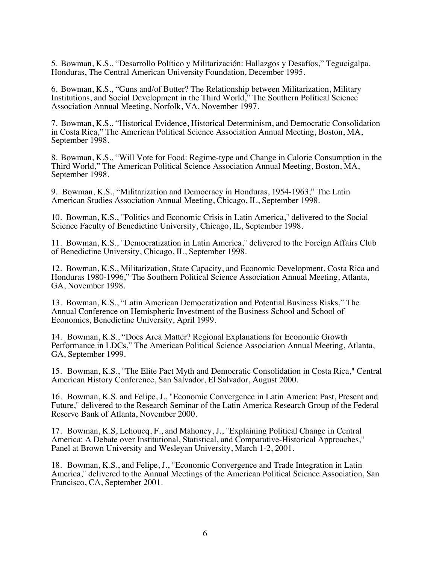5. Bowman, K.S., "Desarrollo Político y Militarización: Hallazgos y Desafíos," Tegucigalpa, Honduras, The Central American University Foundation, December 1995.

6. Bowman, K.S., "Guns and/of Butter? The Relationship between Militarization, Military Institutions, and Social Development in the Third World," The Southern Political Science Association Annual Meeting, Norfolk, VA, November 1997.

7. Bowman, K.S., "Historical Evidence, Historical Determinism, and Democratic Consolidation in Costa Rica," The American Political Science Association Annual Meeting, Boston, MA, September 1998.

8. Bowman, K.S., "Will Vote for Food: Regime-type and Change in Calorie Consumption in the Third World," The American Political Science Association Annual Meeting, Boston, MA, September 1998.

9. Bowman, K.S., "Militarization and Democracy in Honduras, 1954-1963," The Latin American Studies Association Annual Meeting, Chicago, IL, September 1998.

10. Bowman, K.S., "Politics and Economic Crisis in Latin America," delivered to the Social Science Faculty of Benedictine University, Chicago, IL, September 1998.

11. Bowman, K.S., "Democratization in Latin America," delivered to the Foreign Affairs Club of Benedictine University, Chicago, IL, September 1998.

12. Bowman, K.S., Militarization, State Capacity, and Economic Development, Costa Rica and Honduras 1980-1996," The Southern Political Science Association Annual Meeting, Atlanta, GA, November 1998.

13. Bowman, K.S., "Latin American Democratization and Potential Business Risks," The Annual Conference on Hemispheric Investment of the Business School and School of Economics, Benedictine University, April 1999.

14. Bowman, K.S., "Does Area Matter? Regional Explanations for Economic Growth Performance in LDCs," The American Political Science Association Annual Meeting, Atlanta, GA, September 1999.

15. Bowman, K.S., "The Elite Pact Myth and Democratic Consolidation in Costa Rica," Central American History Conference, San Salvador, El Salvador, August 2000.

16. Bowman, K.S. and Felipe, J., "Economic Convergence in Latin America: Past, Present and Future," delivered to the Research Seminar of the Latin America Research Group of the Federal Reserve Bank of Atlanta, November 2000.

17. Bowman, K.S, Lehoucq, F., and Mahoney, J., "Explaining Political Change in Central America: A Debate over Institutional, Statistical, and Comparative-Historical Approaches," Panel at Brown University and Wesleyan University, March 1-2, 2001.

18. Bowman, K.S., and Felipe, J., "Economic Convergence and Trade Integration in Latin America," delivered to the Annual Meetings of the American Political Science Association, San Francisco, CA, September 2001.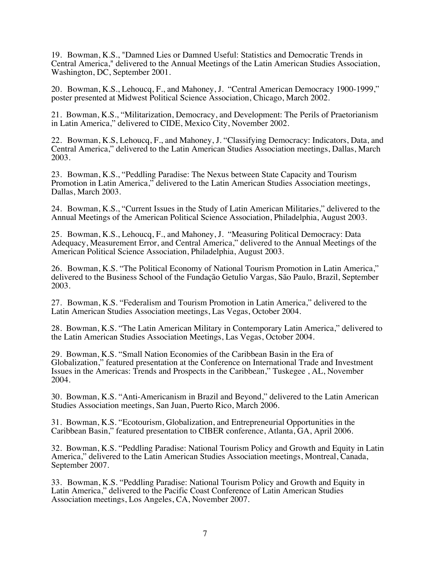19. Bowman, K.S., "Damned Lies or Damned Useful: Statistics and Democratic Trends in Central America," delivered to the Annual Meetings of the Latin American Studies Association, Washington, DC, September 2001.

20. Bowman, K.S., Lehoucq, F., and Mahoney, J. "Central American Democracy 1900-1999," poster presented at Midwest Political Science Association, Chicago, March 2002.

21. Bowman, K.S., "Militarization, Democracy, and Development: The Perils of Praetorianism in Latin America," delivered to CIDE, Mexico City, November 2002.

22. Bowman, K.S, Lehoucq, F., and Mahoney, J. "Classifying Democracy: Indicators, Data, and Central America," delivered to the Latin American Studies Association meetings, Dallas, March 2003.

23. Bowman, K.S., "Peddling Paradise: The Nexus between State Capacity and Tourism Promotion in Latin America," delivered to the Latin American Studies Association meetings, Dallas, March 2003.

24. Bowman, K.S., "Current Issues in the Study of Latin American Militaries," delivered to the Annual Meetings of the American Political Science Association, Philadelphia, August 2003.

25. Bowman, K.S., Lehoucq, F., and Mahoney, J. "Measuring Political Democracy: Data Adequacy, Measurement Error, and Central America," delivered to the Annual Meetings of the American Political Science Association, Philadelphia, August 2003.

26. Bowman, K.S. "The Political Economy of National Tourism Promotion in Latin America," delivered to the Business School of the Fundação Getulio Vargas, São Paulo, Brazil, September 2003.

27. Bowman, K.S. "Federalism and Tourism Promotion in Latin America," delivered to the Latin American Studies Association meetings, Las Vegas, October 2004.

28. Bowman, K.S. "The Latin American Military in Contemporary Latin America," delivered to the Latin American Studies Association Meetings, Las Vegas, October 2004.

29. Bowman, K.S. "Small Nation Economies of the Caribbean Basin in the Era of Globalization," featured presentation at the Conference on International Trade and Investment Issues in the Americas: Trends and Prospects in the Caribbean," Tuskegee , AL, November 2004.

30. Bowman, K.S. "Anti-Americanism in Brazil and Beyond," delivered to the Latin American Studies Association meetings, San Juan, Puerto Rico, March 2006.

31. Bowman, K.S. "Ecotourism, Globalization, and Entrepreneurial Opportunities in the Caribbean Basin," featured presentation to CIBER conference, Atlanta, GA, April 2006.

32. Bowman, K.S. "Peddling Paradise: National Tourism Policy and Growth and Equity in Latin America," delivered to the Latin American Studies Association meetings, Montreal, Canada, September 2007.

33. Bowman, K.S. "Peddling Paradise: National Tourism Policy and Growth and Equity in Latin America," delivered to the Pacific Coast Conference of Latin American Studies Association meetings, Los Angeles, CA, November 2007.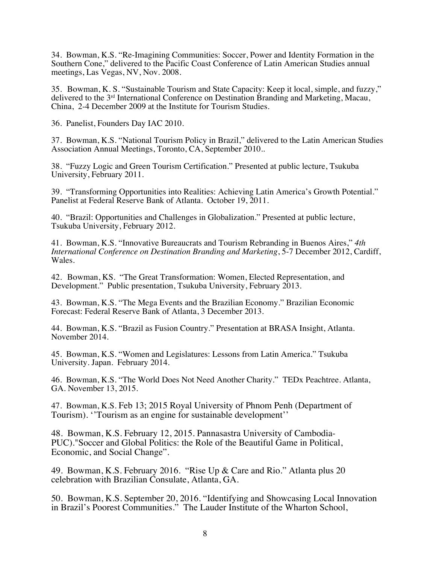34. Bowman, K.S. "Re-Imagining Communities: Soccer, Power and Identity Formation in the Southern Cone," delivered to the Pacific Coast Conference of Latin American Studies annual meetings, Las Vegas, NV, Nov. 2008.

35. Bowman, K. S. "Sustainable Tourism and State Capacity: Keep it local, simple, and fuzzy," delivered to the 3rd International Conference on Destination Branding and Marketing, Macau, China, 2-4 December 2009 at the Institute for Tourism Studies.

36. Panelist, Founders Day IAC 2010.

37. Bowman, K.S. "National Tourism Policy in Brazil," delivered to the Latin American Studies Association Annual Meetings, Toronto, CA, September 2010..

38. "Fuzzy Logic and Green Tourism Certification." Presented at public lecture, Tsukuba University, February 2011.

39. "Transforming Opportunities into Realities: Achieving Latin America's Growth Potential." Panelist at Federal Reserve Bank of Atlanta. October 19, 2011.

40. "Brazil: Opportunities and Challenges in Globalization." Presented at public lecture, Tsukuba University, February 2012.

41. Bowman, K.S. "Innovative Bureaucrats and Tourism Rebranding in Buenos Aires," *4th International Conference on Destination Branding and Marketing*, 5-7 December 2012, Cardiff, Wales.

42. Bowman, KS. "The Great Transformation: Women, Elected Representation, and Development." Public presentation, Tsukuba University, February 2013.

43. Bowman, K.S. "The Mega Events and the Brazilian Economy." Brazilian Economic Forecast: Federal Reserve Bank of Atlanta, 3 December 2013.

44. Bowman, K.S. "Brazil as Fusion Country." Presentation at BRASA Insight, Atlanta. November 2014.

45. Bowman, K.S. "Women and Legislatures: Lessons from Latin America." Tsukuba University. Japan. February 2014.

46. Bowman, K.S. "The World Does Not Need Another Charity." TEDx Peachtree. Atlanta, GA. November 13, 2015.

47. Bowman, K.S. Feb 13; 2015 Royal University of Phnom Penh (Department of Tourism). ''Tourism as an engine for sustainable development''

48. Bowman, K.S. February 12, 2015. Pannasastra University of Cambodia-PUC)."Soccer and Global Politics: the Role of the Beautiful Game in Political, Economic, and Social Change".

49. Bowman, K.S. February 2016. "Rise Up & Care and Rio." Atlanta plus 20 celebration with Brazilian Consulate, Atlanta, GA.

50. Bowman, K.S. September 20, 2016. "Identifying and Showcasing Local Innovation in Brazil's Poorest Communities." The Lauder Institute of the Wharton School,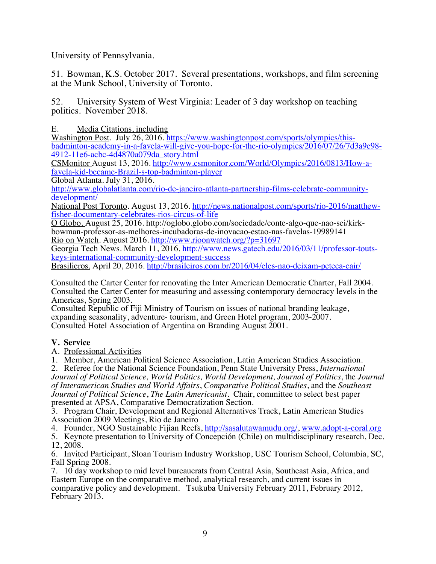University of Pennsylvania.

51. Bowman, K.S. October 2017. Several presentations, workshops, and film screening at the Munk School, University of Toronto.

52. University System of West Virginia: Leader of 3 day workshop on teaching politics. November 2018.

E. Media Citations, including

Washington Post. July 26, 2016. https://www.washingtonpost.com/sports/olympics/thisbadminton-academy-in-a-favela-will-give-you-hope-for-the-rio-olympics/2016/07/26/7d3a9e98- 4912-11e6-acbc-4d4870a079da\_story.html

CSMonitor August 13, 2016. http://www.csmonitor.com/World/Olympics/2016/0813/How-afavela-kid-became-Brazil-s-top-badminton-player

Global Atlanta. July 31, 2016.

http://www.globalatlanta.com/rio-de-janeiro-atlanta-partnership-films-celebrate-communitydevelopment/

National Post Toronto. August 13, 2016. http://news.nationalpost.com/sports/rio-2016/matthewfisher-documentary-celebrates-rios-circus-of-life

O Globo. August 25, 2016. http://oglobo.globo.com/sociedade/conte-algo-que-nao-sei/kirkbowman-professor-as-melhores-incubadoras-de-inovacao-estao-nas-favelas-19989141 Rio on Watch. August 2016. http://www.rioonwatch.org/?p=31697

Georgia Tech News. March 11, 2016. http://www.news.gatech.edu/2016/03/11/professor-toutskeys-international-community-development-success

Brasilieros. April 20, 2016. http://brasileiros.com.br/2016/04/eles-nao-deixam-peteca-cair/

Consulted the Carter Center for renovating the Inter American Democratic Charter, Fall 2004. Consulted the Carter Center for measuring and assessing contemporary democracy levels in the Americas, Spring 2003.

Consulted Republic of Fiji Ministry of Tourism on issues of national branding leakage, expanding seasonality, adventure- tourism, and Green Hotel program, 2003-2007. Consulted Hotel Association of Argentina on Branding August 2001.

## **V. Service**

A. Professional Activities

1. Member, American Political Science Association, Latin American Studies Association.

2. Referee for the National Science Foundation, Penn State University Press, *International Journal of Political Science, World Politics, World Development, Journal of Politics*, the *Journal of Interamerican Studies and World Affairs*, *Comparative Political Studies*, and the *Southeast Journal of Political Science*, *The Latin Americanist.* Chair, committee to select best paper presented at APSA, Comparative Democratization Section.

3. Program Chair, Development and Regional Alternatives Track, Latin American Studies Association 2009 Meetings, Rio de Janeiro

4. Founder, NGO Sustainable Fijian Reefs, http://sasalutawamudu.org/, www.adopt-a-coral.org

5. Keynote presentation to University of Concepción (Chile) on multidisciplinary research, Dec. 12, 2008.

6. Invited Participant, Sloan Tourism Industry Workshop, USC Tourism School, Columbia, SC, Fall Spring 2008.

7. 10 day workshop to mid level bureaucrats from Central Asia, Southeast Asia, Africa, and Eastern Europe on the comparative method, analytical research, and current issues in comparative policy and development. Tsukuba University February 2011, February 2012, February 2013.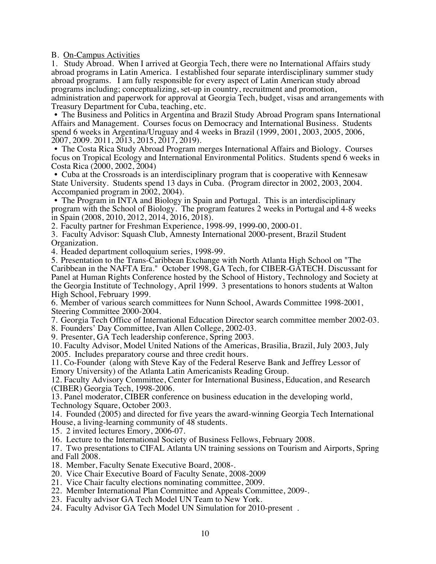B. On-Campus Activities

1. Study Abroad. When I arrived at Georgia Tech, there were no International Affairs study abroad programs in Latin America. I established four separate interdisciplinary summer study abroad programs. I am fully responsible for every aspect of Latin American study abroad programs including; conceptualizing, set-up in country, recruitment and promotion, administration and paperwork for approval at Georgia Tech, budget, visas and arrangements with Treasury Department for Cuba, teaching, etc.

• The Business and Politics in Argentina and Brazil Study Abroad Program spans International Affairs and Management. Courses focus on Democracy and International Business. Students spend 6 weeks in Argentina/Uruguay and 4 weeks in Brazil (1999, 2001, 2003, 2005, 2006, 2007, 2009. 2011, 2013, 2015, 2017, 2019).

• The Costa Rica Study Abroad Program merges International Affairs and Biology. Courses focus on Tropical Ecology and International Environmental Politics. Students spend 6 weeks in Costa Rica (2000, 2002, 2004)

• Cuba at the Crossroads is an interdisciplinary program that is cooperative with Kennesaw State University. Students spend 13 days in Cuba. (Program director in 2002, 2003, 2004. Accompanied program in 2002, 2004).

• The Program in INTA and Biology in Spain and Portugal. This is an interdisciplinary program with the School of Biology. The program features 2 weeks in Portugal and 4-8 weeks in Spain (2008, 2010, 2012, 2014, 2016, 2018).

2. Faculty partner for Freshman Experience, 1998-99, 1999-00, 2000-01.

3. Faculty Advisor: Squash Club, Amnesty International 2000-present, Brazil Student Organization.

4. Headed department colloquium series, 1998-99.

5. Presentation to the Trans-Caribbean Exchange with North Atlanta High School on "The Caribbean in the NAFTA Era." October 1998, GA Tech, for CIBER-GATECH. Discussant for Panel at Human Rights Conference hosted by the School of History, Technology and Society at the Georgia Institute of Technology, April 1999. 3 presentations to honors students at Walton High School, February 1999.

6. Member of various search committees for Nunn School, Awards Committee 1998-2001, Steering Committee 2000-2004.

7. Georgia Tech Office of International Education Director search committee member 2002-03.

8. Founders' Day Committee, Ivan Allen College, 2002-03.

9. Presenter, GA Tech leadership conference, Spring 2003.

10. Faculty Advisor, Model United Nations of the Americas, Brasilia, Brazil, July 2003, July 2005. Includes preparatory course and three credit hours.

11. Co-Founder (along with Steve Kay of the Federal Reserve Bank and Jeffrey Lessor of Emory University) of the Atlanta Latin Americanists Reading Group.

12. Faculty Advisory Committee, Center for International Business, Education, and Research (CIBER) Georgia Tech, 1998-2006.

13. Panel moderator, CIBER conference on business education in the developing world, Technology Square, October 2003.

14. Founded (2005) and directed for five years the award-winning Georgia Tech International House, a living-learning community of 48 students.

15. 2 invited lectures Emory, 2006-07.

16. Lecture to the International Society of Business Fellows, February 2008.

17. Two presentations to CIFAL Atlanta UN training sessions on Tourism and Airports, Spring

and Fall 2008.<br>18. Member, Faculty Senate Executive Board, 2008-.

- 20. Vice Chair Executive Board of Faculty Senate, 2008-2009
- 21. Vice Chair faculty elections nominating committee, 2009.
- 22. Member International Plan Committee and Appeals Committee, 2009-. 23. Faculty advisor GA Tech Model UN Team to New York.
- 
- 24. Faculty Advisor GA Tech Model UN Simulation for 2010-present .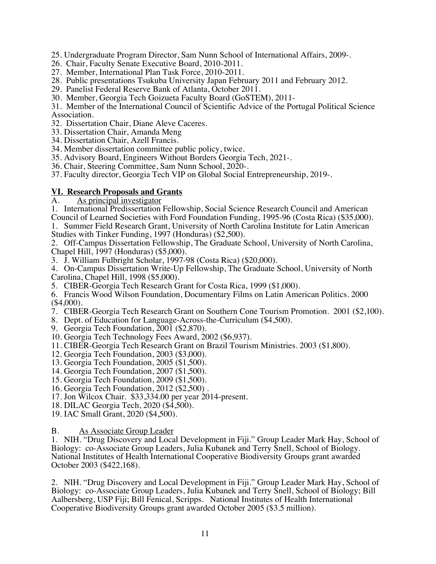- 25. Undergraduate Program Director, Sam Nunn School of International Affairs, 2009-.
- 26. Chair, Faculty Senate Executive Board, 2010-2011.
- 27. Member, International Plan Task Force, 2010-2011.
- 28. Public presentations Tsukuba University Japan February 2011 and February 2012.
- 29. Panelist Federal Reserve Bank of Atlanta, October 2011.
- 30. Member, Georgia Tech Goizueta Faculty Board (GoSTEM), 2011-

31. Member of the International Council of Scientific Advice of the Portugal Political Science Association.

- 32. Dissertation Chair, Diane Aleve Caceres.
- 33. Dissertation Chair, Amanda Meng
- 34. Dissertation Chair, Azell Francis.
- 34. Member dissertation committee public policy, twice.
- 35. Advisory Board, Engineers Without Borders Georgia Tech, 2021-.
- 36. Chair, Steering Committee, Sam Nunn School, 2020-.
- 37. Faculty director, Georgia Tech VIP on Global Social Entrepreneurship, 2019-.

# **<u>VI. Research Proposals and Grants</u>**<br>A. As principal investigator

A. As principal investigator

- 1. International Predissertation Fellowship, Social Science Research Council and American Council of Learned Societies with Ford Foundation Funding, 1995-96 (Costa Rica) (\$35,000).
- 1. Summer Field Research Grant, University of North Carolina Institute for Latin American Studies with Tinker Funding, 1997 (Honduras) (\$2,500).

2. Off-Campus Dissertation Fellowship, The Graduate School, University of North Carolina, Chapel Hill, 1997 (Honduras) (\$5,000).

3. J. William Fulbright Scholar, 1997-98 (Costa Rica) (\$20,000).

4. On-Campus Dissertation Write-Up Fellowship, The Graduate School, University of North Carolina, Chapel Hill, 1998 (\$5,000).

- 5. CIBER-Georgia Tech Research Grant for Costa Rica, 1999 (\$1,000).
- 6. Francis Wood Wilson Foundation, Documentary Films on Latin American Politics. 2000 (\$4,000).
- 7. CIBER-Georgia Tech Research Grant on Southern Cone Tourism Promotion. 2001 (\$2,100).
- 8. Dept. of Education for Language-Across-the-Curriculum (\$4,500).
- 9. Georgia Tech Foundation, 2001 (\$2,870).
- 10. Georgia Tech Technology Fees Award, 2002 (\$6,937).
- 11. CIBER-Georgia Tech Research Grant on Brazil Tourism Ministries. 2003 (\$1,800).
- 12. Georgia Tech Foundation, 2003 (\$3,000).
- 13. Georgia Tech Foundation, 2005 (\$1,500).
- 14. Georgia Tech Foundation, 2007 (\$1,500).
- 15. Georgia Tech Foundation, 2009 (\$1,500).
- 16. Georgia Tech Foundation, 2012 (\$2,500) .
- 17. Jon Wilcox Chair. \$33,334.00 per year 2014-present.
- 18. DILAC Georgia Tech, 2020 (\$4,500).
- 19. IAC Small Grant, 2020 (\$4,500).

#### B. As Associate Group Leader

1. NIH. "Drug Discovery and Local Development in Fiji." Group Leader Mark Hay, School of Biology: co-Associate Group Leaders, Julia Kubanek and Terry Snell, School of Biology. National Institutes of Health International Cooperative Biodiversity Groups grant awarded October 2003 (\$422,168).

2. NIH. "Drug Discovery and Local Development in Fiji." Group Leader Mark Hay, School of Biology: co-Associate Group Leaders, Julia Kubanek and Terry Snell, School of Biology; Bill Aalbersberg, USP Fiji; Bill Fenical, Scripps. National Institutes of Health International Cooperative Biodiversity Groups grant awarded October 2005 (\$3.5 million).